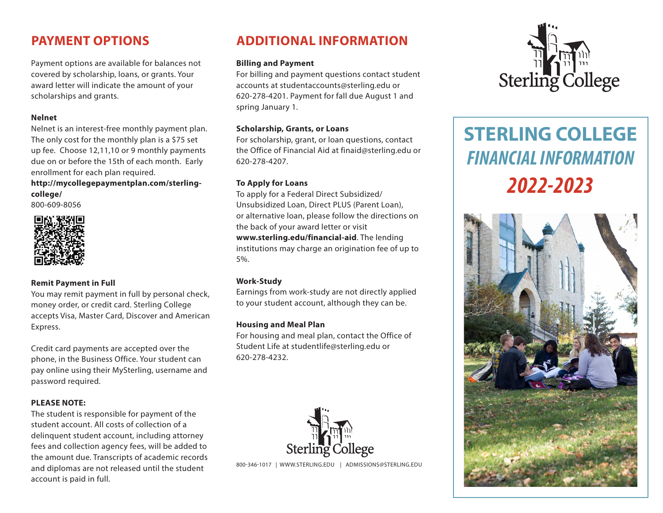## **PAYMENT OPTIONS**

Payment options are available for balances not covered by scholarship, loans, or grants. Your<br>award letter will indicate the amount of your award letter will indicate the amount of your scholarships and grants.<br>Nalpo**t** 

#### **Nelnet**

Nelnet is an interest-free monthly payment plan. The only cost for the monthly plan is a \$75 set Incomy cost for the monthly plan is a \$75 set<br>up fee. Choose 12,11,10 or 9 monthly payments due on or before the 15th of each month. Early enrollment for each plan required. dp iee. Choose  $(z, t)$ , to be given

#### http://mycollegepaymentplan.com/sterling**college/** my.onegepaym

800-609-8056



### **Remit Payment in Full**

You may remit payment in full by personal check, money order, or credit card. Sterling College accepts Visa, Master Card, Discover and American Express.

Credit card payments are accepted over the phone, in the Business Office. Your student can pay online using their MySterling, username and password required.

#### **PLEASE NOTE:**

The student is responsible for payment of the student account. All costs of collection of a delinquent student account, including attorney fees and collection agency fees, will be added to the amount due. Transcripts of academic records and diplomas are not released until the student account is paid in full.

## **ADDITIONAL INFORMATION**

#### **Billing and Payment**

For billing and payment questions contact student accounts at studentaccounts@sterling.edu or 620-278-4201. Payment for fall due August 1 and spring January 1.

#### **Scholarship, Grants, or Loans**

For scholarship, grant, or loan questions, contact the Office of Financial Aid at finaid@sterling.edu or 620-278-4207.

#### **To Apply for Loans**

To apply for a Federal Direct Subsidized/ Unsubsidized Loan, Direct PLUS (Parent Loan), or alternative loan, please follow the directions on the back of your award letter or visit **www.sterling.edu/financial-aid**. The lending institutions may charge an origination fee of up to 5%.

#### **Work-Study**

Earnings from work-study are not directly applied to your student account, although they can be.

### **Housing and Meal Plan**

For housing and meal plan, contact the Office of Student Life at studentlife@sterling.edu or 620-278-4232.



800-346-1017 | WWW.STERLING.EDU | ADMISSIONS@STERLING.EDU



# **STERLING COLLEGE** *FINANCIAL INFORMATION 2022-2023*